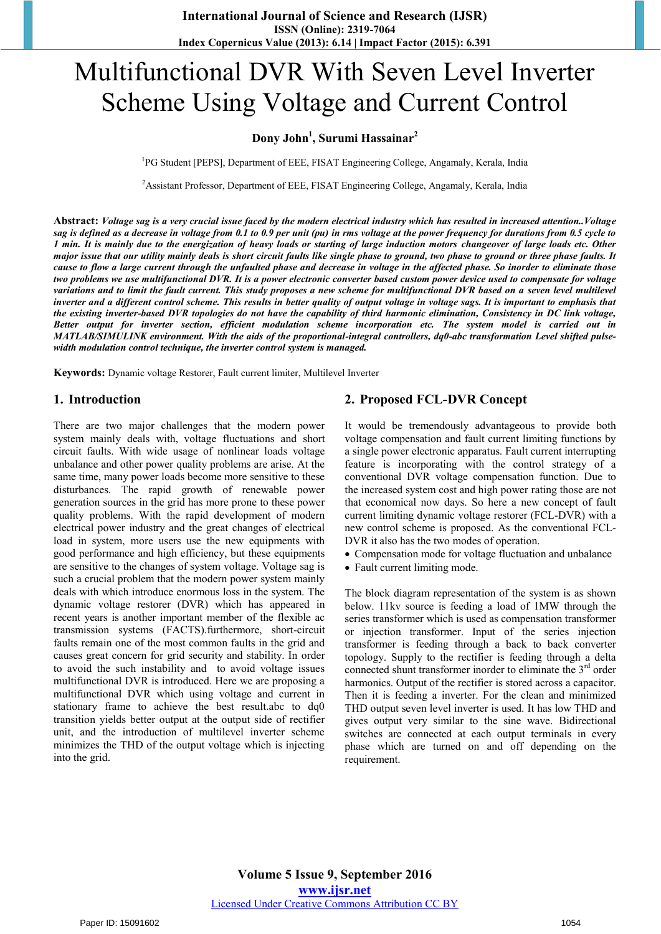# Multifunctional DVR With Seven Level Inverter Scheme Using Voltage and Current Control

# **Dony John1 , Surumi Hassainar<sup>2</sup>**

<sup>1</sup>PG Student [PEPS], Department of EEE, FISAT Engineering College, Angamaly, Kerala, India

<sup>2</sup> Assistant Professor, Department of EEE, FISAT Engineering College, Angamaly, Kerala, India

**Abstract:** *Voltage sag is a very crucial issue faced by the modern electrical industry which has resulted in increased attention..Voltage sag is defined as a decrease in voltage from 0.1 to 0.9 per unit (pu) in rms voltage at the power frequency for durations from 0.5 cycle to 1 min. It is mainly due to the energization of heavy loads or starting of large induction motors changeover of large loads etc. Other major issue that our utility mainly deals is short circuit faults like single phase to ground, two phase to ground or three phase faults. It cause to flow a large current through the unfaulted phase and decrease in voltage in the affected phase. So inorder to eliminate those two problems we use multifunctional DVR. It is a power electronic converter based custom power device used to compensate for voltage variations and to limit the fault current. This study proposes a new scheme for multifunctional DVR based on a seven level multilevel inverter and a different control scheme. This results in better quality of output voltage in voltage sags. It is important to emphasis that the existing inverter-based DVR topologies do not have the capability of third harmonic elimination, Consistency in DC link voltage, Better output for inverter section, efficient modulation scheme incorporation etc. The system model is carried out in MATLAB/SIMULINK environment. With the aids of the proportional-integral controllers, dq0-abc transformation Level shifted pulsewidth modulation control technique, the inverter control system is managed.*

**Keywords:** Dynamic voltage Restorer, Fault current limiter, Multilevel Inverter

#### **1. Introduction**

There are two major challenges that the modern power system mainly deals with, voltage fluctuations and short circuit faults. With wide usage of nonlinear loads voltage unbalance and other power quality problems are arise. At the same time, many power loads become more sensitive to these disturbances. The rapid growth of renewable power generation sources in the grid has more prone to these power quality problems. With the rapid development of modern electrical power industry and the great changes of electrical load in system, more users use the new equipments with good performance and high efficiency, but these equipments are sensitive to the changes of system voltage. Voltage sag is such a crucial problem that the modern power system mainly deals with which introduce enormous loss in the system. The dynamic voltage restorer (DVR) which has appeared in recent years is another important member of the flexible ac transmission systems (FACTS).furthermore, short-circuit faults remain one of the most common faults in the grid and causes great concern for grid security and stability. In order to avoid the such instability and to avoid voltage issues multifunctional DVR is introduced. Here we are proposing a multifunctional DVR which using voltage and current in stationary frame to achieve the best result.abc to dq0 transition yields better output at the output side of rectifier unit, and the introduction of multilevel inverter scheme minimizes the THD of the output voltage which is injecting into the grid.

# **2. Proposed FCL-DVR Concept**

It would be tremendously advantageous to provide both voltage compensation and fault current limiting functions by a single power electronic apparatus. Fault current interrupting feature is incorporating with the control strategy of a conventional DVR voltage compensation function. Due to the increased system cost and high power rating those are not that economical now days. So here a new concept of fault current limiting dynamic voltage restorer (FCL-DVR) with a new control scheme is proposed. As the conventional FCL-DVR it also has the two modes of operation.

- Compensation mode for voltage fluctuation and unbalance
- Fault current limiting mode.

The block diagram representation of the system is as shown below. 11kv source is feeding a load of 1MW through the series transformer which is used as compensation transformer or injection transformer. Input of the series injection transformer is feeding through a back to back converter topology. Supply to the rectifier is feeding through a delta connected shunt transformer inorder to eliminate the  $3<sup>rd</sup>$  order harmonics. Output of the rectifier is stored across a capacitor. Then it is feeding a inverter. For the clean and minimized THD output seven level inverter is used. It has low THD and gives output very similar to the sine wave. Bidirectional switches are connected at each output terminals in every phase which are turned on and off depending on the requirement.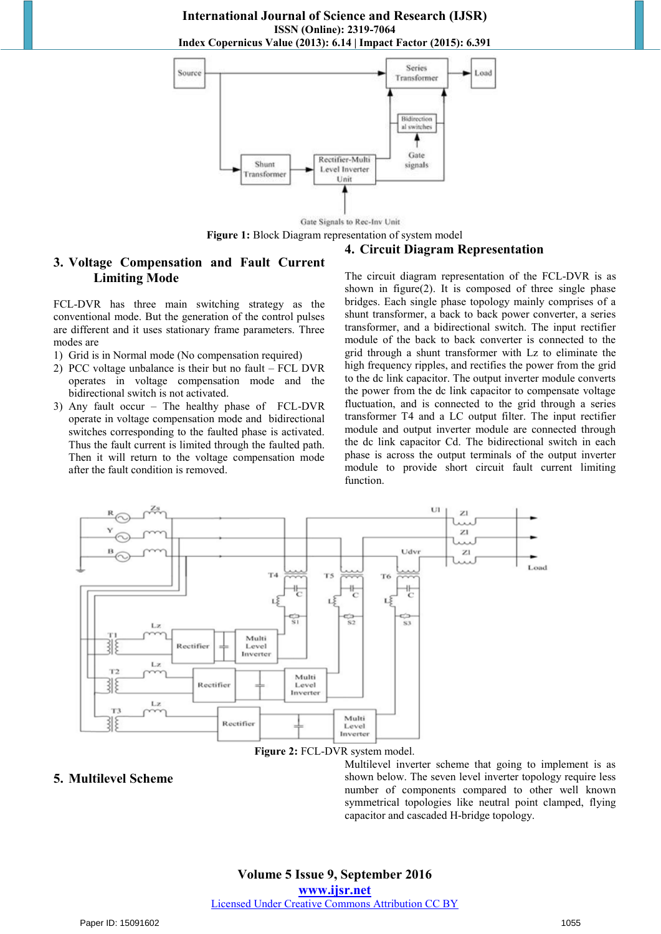**International Journal of Science and Research (IJSR) ISSN (Online): 2319-7064 Index Copernicus Value (2013): 6.14 | Impact Factor (2015): 6.391** 



**Figure 1:** Block Diagram representation of system model

#### **4. Circuit Diagram Representation**

# **3. Voltage Compensation and Fault Current Limiting Mode**

FCL-DVR has three main switching strategy as the conventional mode. But the generation of the control pulses are different and it uses stationary frame parameters. Three modes are

- 1) Grid is in Normal mode (No compensation required)
- 2) PCC voltage unbalance is their but no fault FCL DVR operates in voltage compensation mode and the bidirectional switch is not activated.
- 3) Any fault occur The healthy phase of FCL-DVR operate in voltage compensation mode and bidirectional switches corresponding to the faulted phase is activated. Thus the fault current is limited through the faulted path. Then it will return to the voltage compensation mode after the fault condition is removed.

The circuit diagram representation of the FCL-DVR is as shown in figure(2). It is composed of three single phase bridges. Each single phase topology mainly comprises of a shunt transformer, a back to back power converter, a series transformer, and a bidirectional switch. The input rectifier module of the back to back converter is connected to the grid through a shunt transformer with Lz to eliminate the high frequency ripples, and rectifies the power from the grid to the dc link capacitor. The output inverter module converts the power from the dc link capacitor to compensate voltage fluctuation, and is connected to the grid through a series transformer T4 and a LC output filter. The input rectifier module and output inverter module are connected through the dc link capacitor Cd. The bidirectional switch in each phase is across the output terminals of the output inverter module to provide short circuit fault current limiting function.



**Figure 2:** FCL-DVR system model.

#### **5. Multilevel Scheme**

Multilevel inverter scheme that going to implement is as shown below. The seven level inverter topology require less number of components compared to other well known symmetrical topologies like neutral point clamped, flying capacitor and cascaded H-bridge topology.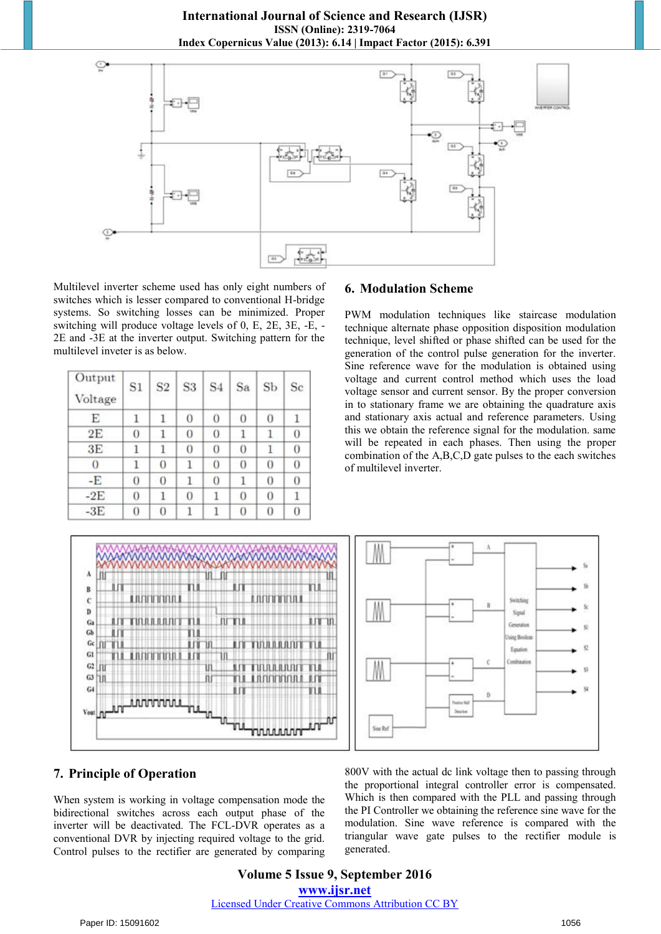**International Journal of Science and Research (IJSR) ISSN (Online): 2319-7064 Index Copernicus Value (2013): 6.14 | Impact Factor (2015): 6.391** 



Multilevel inverter scheme used has only eight numbers of switches which is lesser compared to conventional H-bridge systems. So switching losses can be minimized. Proper switching will produce voltage levels of 0, E, 2E, 3E, -E, - 2E and -3E at the inverter output. Switching pattern for the multilevel inveter is as below.

| Output<br>Voltage | S1       | S <sub>2</sub> | S <sub>3</sub> | S <sub>4</sub> | Sa       | Sb       | Sc             |
|-------------------|----------|----------------|----------------|----------------|----------|----------|----------------|
| E                 | 1        | 1              | 0              | $\theta$       | 0        | 0        |                |
| 2E                | $\bf{0}$ |                | $\overline{0}$ | 0              | 1        |          | 0              |
| 3E                | 1        | 1              | 0              | 0              | $\theta$ | 1        | 0              |
| $\theta$          | 1        | 0              | 1              | 0              | $\theta$ | 0        | 0              |
| -E                | 0        | 0              | 1              | 0              | 1        | 0        | 0              |
| $-2E$             | $\theta$ | 1              | 0              | 1              | 0        | $\bf{0}$ |                |
| $-3E$             | 0        | $\overline{0}$ |                | ı              | 0        | 0        | $\overline{0}$ |

## **6. Modulation Scheme**

PWM modulation techniques like staircase modulation technique alternate phase opposition disposition modulation technique, level shifted or phase shifted can be used for the generation of the control pulse generation for the inverter. Sine reference wave for the modulation is obtained using voltage and current control method which uses the load voltage sensor and current sensor. By the proper conversion in to stationary frame we are obtaining the quadrature axis and stationary axis actual and reference parameters. Using this we obtain the reference signal for the modulation. same will be repeated in each phases. Then using the proper combination of the A,B,C,D gate pulses to the each switches of multilevel inverter.



# **7. Principle of Operation**

When system is working in voltage compensation mode the bidirectional switches across each output phase of the inverter will be deactivated. The FCL-DVR operates as a conventional DVR by injecting required voltage to the grid. Control pulses to the rectifier are generated by comparing 800V with the actual dc link voltage then to passing through the proportional integral controller error is compensated. Which is then compared with the PLL and passing through the PI Controller we obtaining the reference sine wave for the modulation. Sine wave reference is compared with the triangular wave gate pulses to the rectifier module is generated.

**Volume 5 Issue 9, September 2016 www.ijsr.net** Licensed Under Creative Commons Attribution CC BY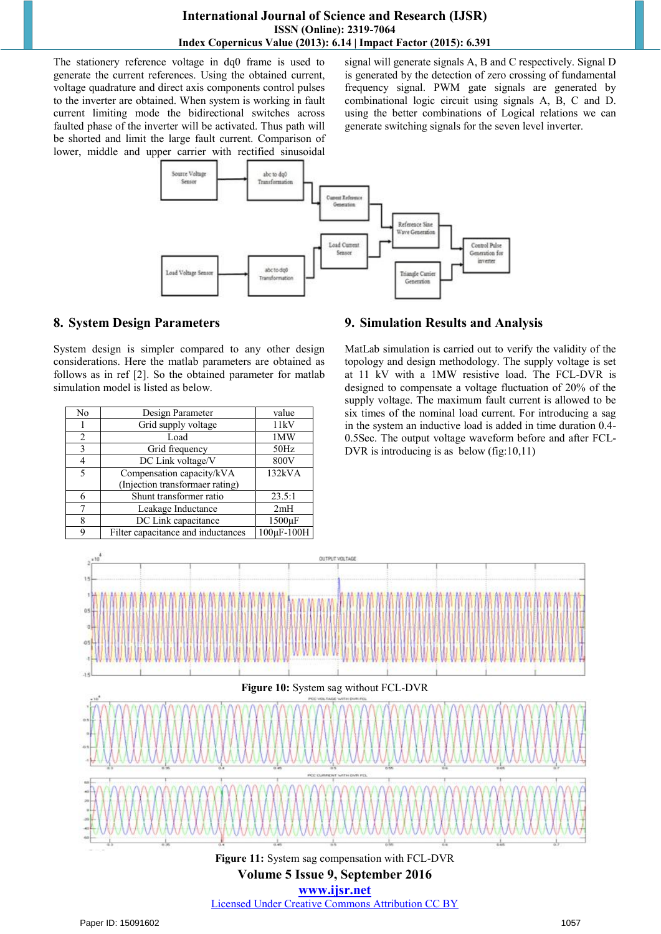# **International Journal of Science and Research (IJSR) ISSN (Online): 2319-7064 Index Copernicus Value (2013): 6.14 | Impact Factor (2015): 6.391**

The stationery reference voltage in dq0 frame is used to generate the current references. Using the obtained current, voltage quadrature and direct axis components control pulses to the inverter are obtained. When system is working in fault current limiting mode the bidirectional switches across faulted phase of the inverter will be activated. Thus path will be shorted and limit the large fault current. Comparison of lower, middle and upper carrier with rectified sinusoidal signal will generate signals A, B and C respectively. Signal D is generated by the detection of zero crossing of fundamental frequency signal. PWM gate signals are generated by combinational logic circuit using signals A, B, C and D. using the better combinations of Logical relations we can generate switching signals for the seven level inverter.



# **8. System Design Parameters**

System design is simpler compared to any other design considerations. Here the matlab parameters are obtained as follows as in ref [2]. So the obtained parameter for matlab simulation model is listed as below.

| No | Design Parameter                   | value      |  |
|----|------------------------------------|------------|--|
|    | Grid supply voltage                | 11kV       |  |
| 2  | Load                               | 1MW        |  |
| 3  | Grid frequency                     | 50Hz       |  |
| 4  | DC Link voltage/V                  | 800V       |  |
| 5  | Compensation capacity/kVA          | 132kVA     |  |
|    | (Injection transformaer rating)    |            |  |
|    | Shunt transformer ratio            | 23.5:1     |  |
|    | Leakage Inductance                 | 2mH        |  |
| 8  | DC Link capacitance                | 1500µF     |  |
| a  | Filter capacitance and inductances | 100µF-100H |  |

# **9. Simulation Results and Analysis**

MatLab simulation is carried out to verify the validity of the topology and design methodology. The supply voltage is set at 11 kV with a 1MW resistive load. The FCL-DVR is designed to compensate a voltage fluctuation of 20% of the supply voltage. The maximum fault current is allowed to be six times of the nominal load current. For introducing a sag in the system an inductive load is added in time duration 0.4- 0.5Sec. The output voltage waveform before and after FCL-DVR is introducing is as below (fig:10,11)



Licensed Under Creative Commons Attribution CC BY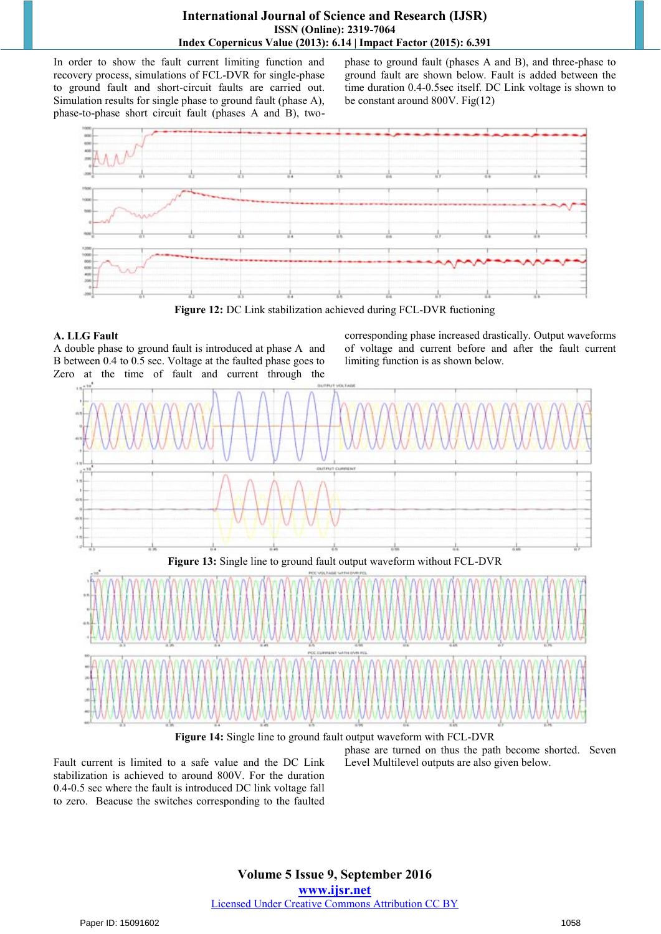# **International Journal of Science and Research (IJSR) ISSN (Online): 2319-7064 Index Copernicus Value (2013): 6.14 | Impact Factor (2015): 6.391**

In order to show the fault current limiting function and recovery process, simulations of FCL-DVR for single-phase to ground fault and short-circuit faults are carried out. Simulation results for single phase to ground fault (phase A), phase-to-phase short circuit fault (phases A and B), twophase to ground fault (phases A and B), and three-phase to ground fault are shown below. Fault is added between the time duration 0.4-0.5sec itself. DC Link voltage is shown to be constant around 800V. Fig(12)



**Figure 12:** DC Link stabilization achieved during FCL-DVR fuctioning

# **A. LLG Fault**

A double phase to ground fault is introduced at phase A and B between 0.4 to 0.5 sec. Voltage at the faulted phase goes to Zero at the time of fault and current through the corresponding phase increased drastically. Output waveforms of voltage and current before and after the fault current limiting function is as shown below.



**Figure 14:** Single line to ground fault output waveform with FCL-DVR

Fault current is limited to a safe value and the DC Link stabilization is achieved to around 800V. For the duration 0.4-0.5 sec where the fault is introduced DC link voltage fall to zero. Beacuse the switches corresponding to the faulted phase are turned on thus the path become shorted. Seven Level Multilevel outputs are also given below.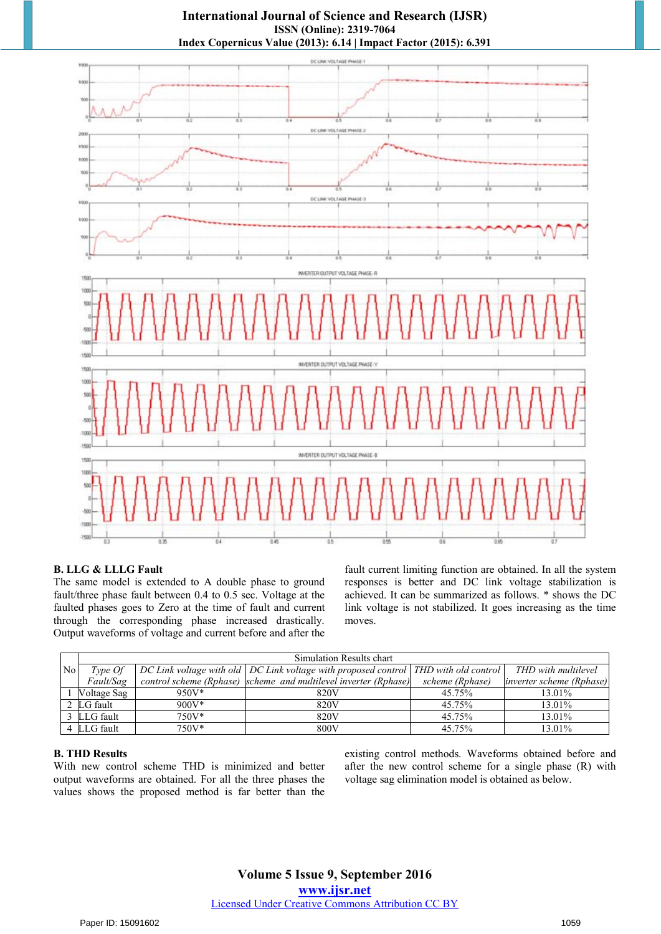**International Journal of Science and Research (IJSR) ISSN (Online): 2319-7064 Index Copernicus Value (2013): 6.14 | Impact Factor (2015): 6.391** 



#### **B. LLG & LLLG Fault**

The same model is extended to A double phase to ground fault/three phase fault between 0.4 to 0.5 sec. Voltage at the faulted phases goes to Zero at the time of fault and current through the corresponding phase increased drastically. Output waveforms of voltage and current before and after the fault current limiting function are obtained. In all the system responses is better and DC link voltage stabilization is achieved. It can be summarized as follows. \* shows the DC link voltage is not stabilized. It goes increasing as the time moves.

|                | Simulation Results chart |          |                                                                                         |                 |                                 |  |
|----------------|--------------------------|----------|-----------------------------------------------------------------------------------------|-----------------|---------------------------------|--|
| N <sub>o</sub> | Type Of                  |          | DC Link voltage with old   DC Link voltage with proposed control   THD with old control |                 | THD with multilevel             |  |
|                | Fault/Sag                |          | control scheme (Rphase) scheme and multilevel inverter (Rphase)                         | scheme (Rphase) | <i>inverter scheme (Rphase)</i> |  |
|                | Voltage Sag              | $950V*$  | 820V                                                                                    | 45.75%          | 13.01%                          |  |
|                | 2 LG fault               | $900V^*$ | 820V                                                                                    | 45.75%          | 13.01%                          |  |
|                | 3 LLG fault              | $750V*$  | 820V                                                                                    | 45.75%          | 13.01%                          |  |
|                | 4 LLG fault              | 750V*    | 800V                                                                                    | 45.75%          | 13.01%                          |  |

#### **B. THD Results**

With new control scheme THD is minimized and better output waveforms are obtained. For all the three phases the values shows the proposed method is far better than the existing control methods. Waveforms obtained before and after the new control scheme for a single phase (R) with voltage sag elimination model is obtained as below.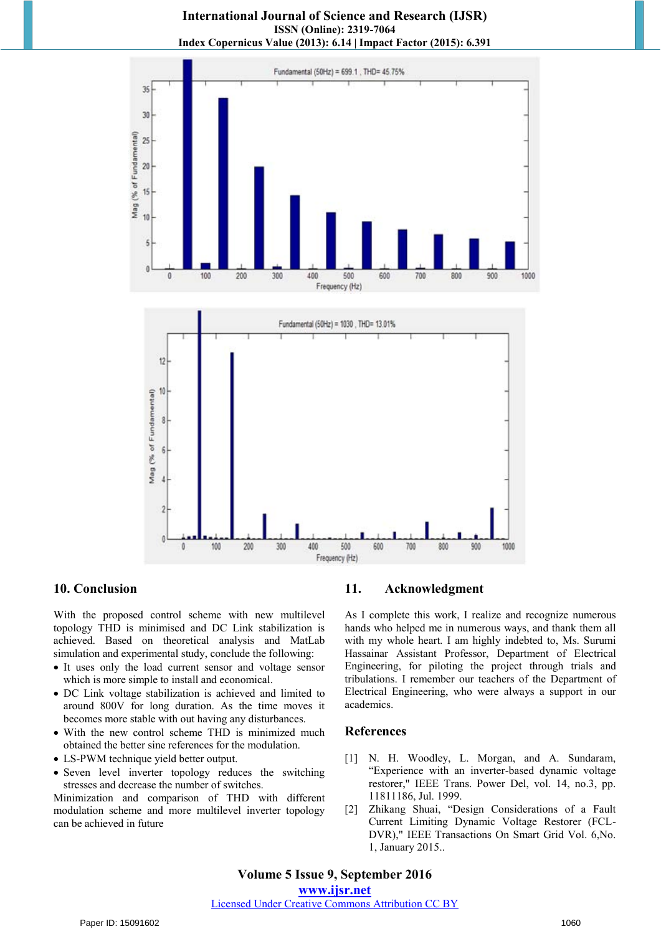**International Journal of Science and Research (IJSR) ISSN (Online): 2319-7064 Index Copernicus Value (2013): 6.14 | Impact Factor (2015): 6.391** 





#### **10. Conclusion**

With the proposed control scheme with new multilevel topology THD is minimised and DC Link stabilization is achieved. Based on theoretical analysis and MatLab simulation and experimental study, conclude the following:

- It uses only the load current sensor and voltage sensor which is more simple to install and economical.
- DC Link voltage stabilization is achieved and limited to around 800V for long duration. As the time moves it becomes more stable with out having any disturbances.
- With the new control scheme THD is minimized much obtained the better sine references for the modulation.
- LS-PWM technique yield better output.
- Seven level inverter topology reduces the switching stresses and decrease the number of switches.

Minimization and comparison of THD with different modulation scheme and more multilevel inverter topology can be achieved in future

#### **11. Acknowledgment**

As I complete this work, I realize and recognize numerous hands who helped me in numerous ways, and thank them all with my whole heart. I am highly indebted to, Ms. Surumi Hassainar Assistant Professor, Department of Electrical Engineering, for piloting the project through trials and tribulations. I remember our teachers of the Department of Electrical Engineering, who were always a support in our academics.

#### **References**

- [1] N. H. Woodley, L. Morgan, and A. Sundaram, "Experience with an inverter-based dynamic voltage restorer," IEEE Trans. Power Del, vol. 14, no.3, pp. 11811186, Jul. 1999.
- [2] Zhikang Shuai, "Design Considerations of a Fault Current Limiting Dynamic Voltage Restorer (FCL-DVR)," IEEE Transactions On Smart Grid Vol. 6,No. 1, January 2015..